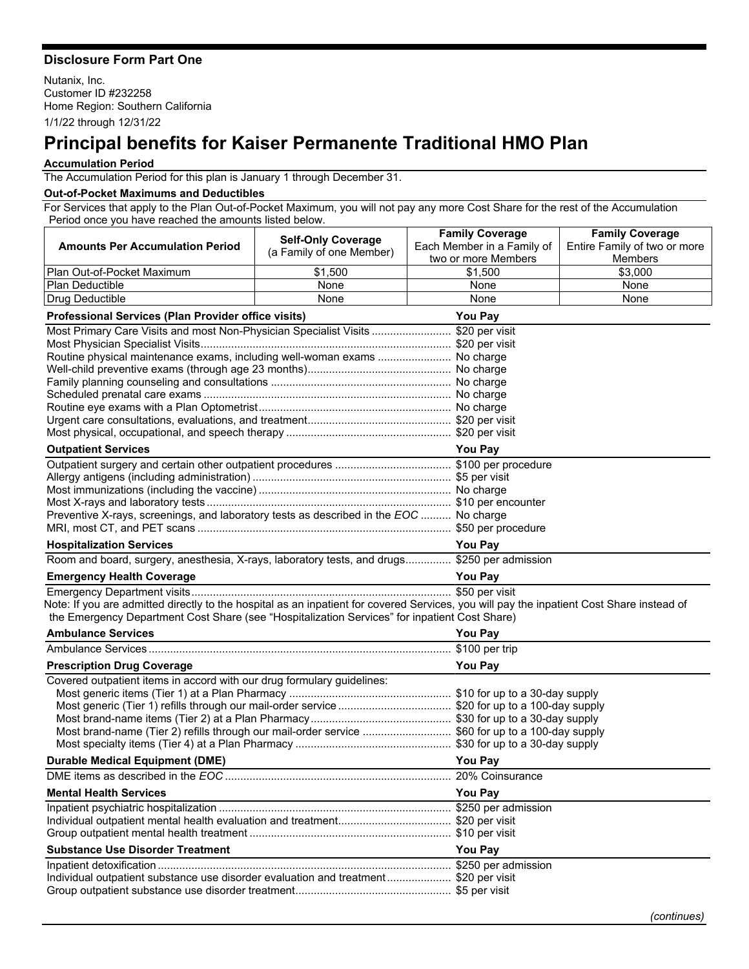## **Disclosure Form Part One**

Nutanix, Inc. Customer ID #232258 Home Region: Southern California 1/1/22 through 12/31/22

## **Principal benefits for Kaiser Permanente Traditional HMO Plan**

## **Accumulation Period**

The Accumulation Period for this plan is January 1 through December 31.

## **Out-of-Pocket Maximums and Deductibles**

For Services that apply to the Plan Out-of-Pocket Maximum, you will not pay any more Cost Share for the rest of the Accumulation Period once you have reached the amounts listed below.

|                                                                                                                                           | <b>Self-Only Coverage</b> | <b>Family Coverage</b>     | <b>Family Coverage</b>       |  |
|-------------------------------------------------------------------------------------------------------------------------------------------|---------------------------|----------------------------|------------------------------|--|
| <b>Amounts Per Accumulation Period</b>                                                                                                    | (a Family of one Member)  | Each Member in a Family of | Entire Family of two or more |  |
|                                                                                                                                           |                           | two or more Members        | <b>Members</b>               |  |
| Plan Out-of-Pocket Maximum                                                                                                                | \$1,500                   | \$1,500                    | \$3,000                      |  |
| <b>Plan Deductible</b>                                                                                                                    | None                      | None                       | None                         |  |
| Drug Deductible                                                                                                                           | None                      | None                       | None                         |  |
| Professional Services (Plan Provider office visits)<br><b>You Pay</b>                                                                     |                           |                            |                              |  |
| Most Primary Care Visits and most Non-Physician Specialist Visits  \$20 per visit                                                         |                           |                            |                              |  |
|                                                                                                                                           |                           |                            |                              |  |
| Routine physical maintenance exams, including well-woman exams  No charge                                                                 |                           |                            |                              |  |
|                                                                                                                                           |                           |                            |                              |  |
|                                                                                                                                           |                           |                            |                              |  |
|                                                                                                                                           |                           |                            |                              |  |
|                                                                                                                                           |                           |                            |                              |  |
|                                                                                                                                           |                           |                            |                              |  |
| <b>Outpatient Services</b><br><b>You Pay</b>                                                                                              |                           |                            |                              |  |
|                                                                                                                                           |                           |                            |                              |  |
|                                                                                                                                           |                           |                            |                              |  |
|                                                                                                                                           |                           |                            |                              |  |
|                                                                                                                                           |                           |                            |                              |  |
| Preventive X-rays, screenings, and laboratory tests as described in the EOC  No charge                                                    |                           |                            |                              |  |
|                                                                                                                                           |                           |                            |                              |  |
| <b>Hospitalization Services</b>                                                                                                           |                           | <b>You Pay</b>             |                              |  |
| Room and board, surgery, anesthesia, X-rays, laboratory tests, and drugs \$250 per admission                                              |                           |                            |                              |  |
| <b>Emergency Health Coverage</b><br><u> 1980 - Johann Barn, mars an t-Amerikaansk kommunister (</u>                                       |                           | <b>You Pay</b>             |                              |  |
|                                                                                                                                           |                           |                            |                              |  |
| Note: If you are admitted directly to the hospital as an inpatient for covered Services, you will pay the inpatient Cost Share instead of |                           |                            |                              |  |
| the Emergency Department Cost Share (see "Hospitalization Services" for inpatient Cost Share)                                             |                           |                            |                              |  |
| <b>Ambulance Services</b>                                                                                                                 |                           | You Pay                    |                              |  |
|                                                                                                                                           |                           |                            |                              |  |
| <b>Prescription Drug Coverage</b>                                                                                                         | You Pay                   |                            |                              |  |
| Covered outpatient items in accord with our drug formulary guidelines:                                                                    |                           |                            |                              |  |
|                                                                                                                                           |                           |                            |                              |  |
|                                                                                                                                           |                           |                            |                              |  |
| Most brand-name (Tier 2) refills through our mail-order service  \$60 for up to a 100-day supply                                          |                           |                            |                              |  |
|                                                                                                                                           |                           |                            |                              |  |
| <b>Durable Medical Equipment (DME)</b>                                                                                                    |                           | <b>You Pay</b>             |                              |  |
| DMF items as described in the EOC.                                                                                                        |                           | 20% Coinsurance            |                              |  |
| <b>Mental Health Services</b>                                                                                                             |                           | You Pay                    |                              |  |
|                                                                                                                                           |                           |                            |                              |  |
|                                                                                                                                           |                           |                            |                              |  |
|                                                                                                                                           |                           |                            |                              |  |
| <b>Substance Use Disorder Treatment</b>                                                                                                   |                           | You Pay                    |                              |  |
|                                                                                                                                           |                           |                            |                              |  |
| Individual outpatient substance use disorder evaluation and treatment \$20 per visit                                                      |                           |                            |                              |  |
|                                                                                                                                           |                           |                            |                              |  |